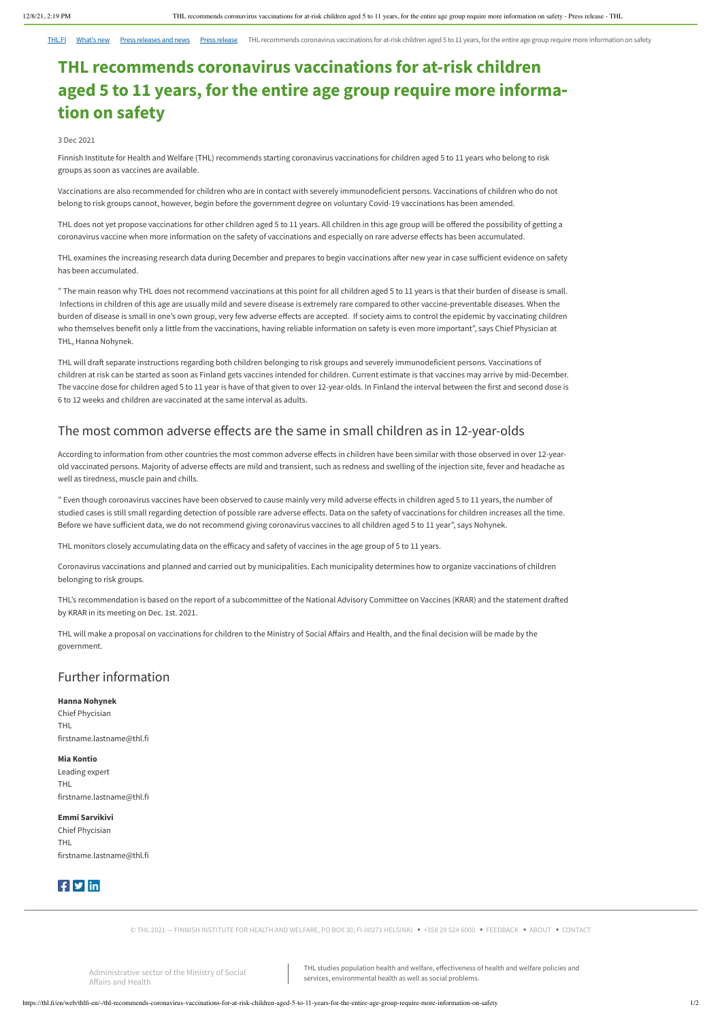[THL.FI](https://thl.fi/en/web/thlfi-en) [What's](https://thl.fi/en/web/thlfi-en/whats-new) new Press [releases](https://thl.fi/en/web/thlfi-en/whats-new/press-releases-and-news) and news Press [release](https://thl.fi/en/web/thlfi-en/whats-new/press-releases-and-news/press-release) THL recommends coronavirus vaccinations for at-risk children aged 5 to 11 years, for the entire age group require more information on safety

Finnish Institute for Health and Welfare (THL) recommends starting coronavirus vaccinations for children aged 5 to 11 years who belong to risk groups as soon as vaccines are available.

Vaccinations are also recommended for children who are in contact with severely immunodeficient persons. Vaccinations of children who do not belong to risk groups cannot, however, begin before the government degree on voluntary Covid-19 vaccinations has been amended.

THL does not yet propose vaccinations for other children aged 5 to 11 years. All children in this age group will be offered the possibility of getting a coronavirus vaccine when more information on the safety of vaccinations and especially on rare adverse effects has been accumulated.

THL examines the increasing research data during December and prepares to begin vaccinations after new year in case sufficient evidence on safety has been accumulated.

" The main reason why THL does not recommend vaccinations at this point for all children aged 5 to 11 years is that their burden of disease is small. Infections in children of this age are usually mild and severe disease is extremely rare compared to other vaccine-preventable diseases. When the burden of disease is small in one's own group, very few adverse effects are accepted. If society aims to control the epidemic by vaccinating children who themselves benefit only a little from the vaccinations, having reliable information on safety is even more important", says Chief Physician at THL, Hanna Nohynek.

THL will draft separate instructions regarding both children belonging to risk groups and severely immunodeficient persons. Vaccinations of children at risk can be started as soon as Finland gets vaccines intended for children. Current estimate is that vaccines may arrive by mid-December. The vaccine dose for children aged 5 to 11 year is have of that given to over 12-year-olds. In Finland the interval between the first and second dose is 6 to 12 weeks and children are vaccinated at the same interval as adults.

### The most common adverse effects are the same in small children as in 12-year-olds

According to information from other countries the most common adverse effects in children have been similar with those observed in over 12-yearold vaccinated persons. Majority of adverse effects are mild and transient, such as redness and swelling of the injection site, fever and headache as well as tiredness, muscle pain and chills.

" Even though coronavirus vaccines have been observed to cause mainly very mild adverse effects in children aged 5 to 11 years, the number of studied cases is still small regarding detection of possible rare adverse effects. Data on the safety of vaccinations for children increases all the time. Before we have sufficient data, we do not recommend giving coronavirus vaccines to all children aged 5 to 11 year", says Nohynek.

THL monitors closely accumulating data on the efficacy and safety of vaccines in the age group of 5 to 11 years.

Coronavirus vaccinations and planned and carried out by municipalities. Each municipality determines how to organize vaccinations of children belonging to risk groups.

THL's recommendation is based on the report of a subcommittee of the National Advisory Committee on Vaccines (KRAR) and the statement drafted by KRAR in its meeting on Dec. 1st. 2021.

THL will make a proposal on vaccinations for children to the Ministry of Social Affairs and Health, and the final decision will be made by the government.

### Further information

**Hanna Nohynek** Chief Phycisian THL firstname.lastname@thl.fi

**Mia Kontio**

Leading expert THL firstname.lastname@thl.fi

#### **Emmi Sarvikivi**

Chief Phycisian THL

firstname.lastname@thl.fi

## $f y$ in

© THL <sup>2021</sup> — FINNISH INSTITUTE FOR HEALTH AND WELFARE, PO BOX 30, FI-00271 HELSINKI • +358 <sup>29</sup> <sup>524</sup> <sup>6000</sup> • [FEEDBACK](https://thl.fi/web/thlfi-en/about-us/feedback) • [ABOUT](https://thl.fi/web/thlfi-en/about-us/about-the-site) • [CONTACT](https://thl.fi/web/thlfi-en/about-us/contact-us)

THL studies population health and welfare, effectiveness of health and welfare policies and services, environmental health as well as social problems.

https://thl.fi/en/web/thlfi-en/-/thl-recommends-coronavirus-vaccinations-for-at-risk-children-aged-5-to-11-years-for-the-entire-age-group-require-more-information-on-safety 1/2

Administrative sector of the Ministry of Social Affairs and Health

# **THL recommends coronavirus vaccinations for at-risk children aged 5 to 11 years, for the entire age group require more informa‐ tion on safety**

#### 3 Dec 2021